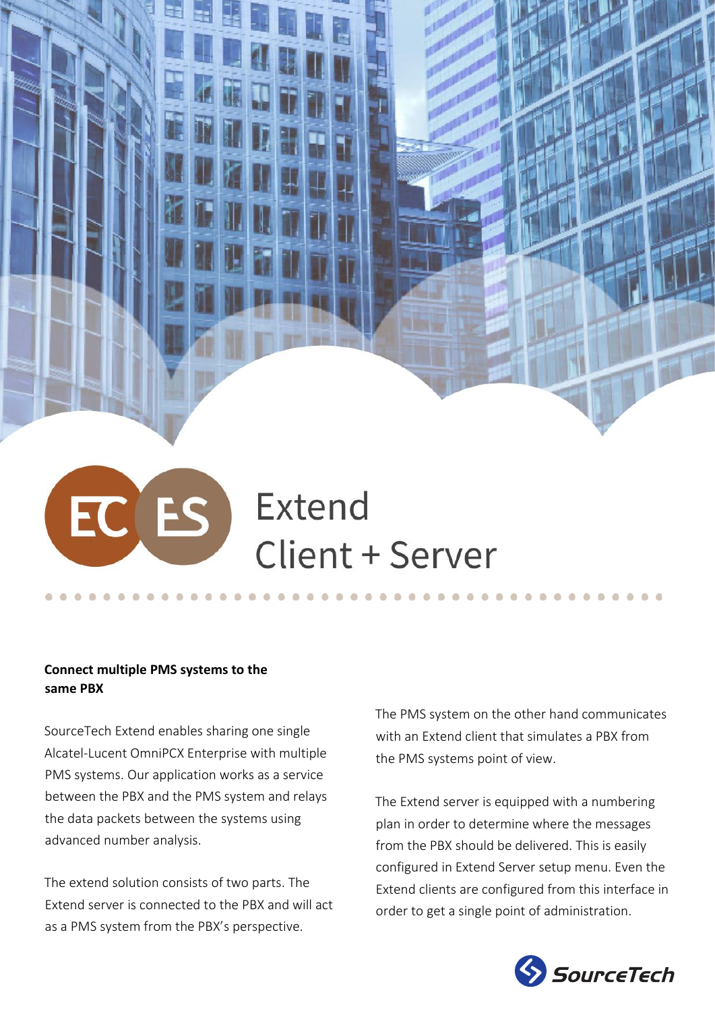# EC ES Extend Client + Server

# **Connect multiple PMS systems to the same PBX**

SourceTech Extend enables sharing one single Alcatel-Lucent OmniPCX Enterprise with multiple PMS systems. Our application works as a service between the PBX and the PMS system and relays the data packets between the systems using advanced number analysis.

The extend solution consists of two parts. The Extend server is connected to the PBX and will act as a PMS system from the PBX's perspective.

The PMS system on the other hand communicates with an Extend client that simulates a PBX from the PMS systems point of view.

The Extend server is equipped with a numbering plan in order to determine where the messages from the PBX should be delivered. This is easily configured in Extend Server setup menu. Even the Extend clients are configured from this interface in order to get a single point of administration.

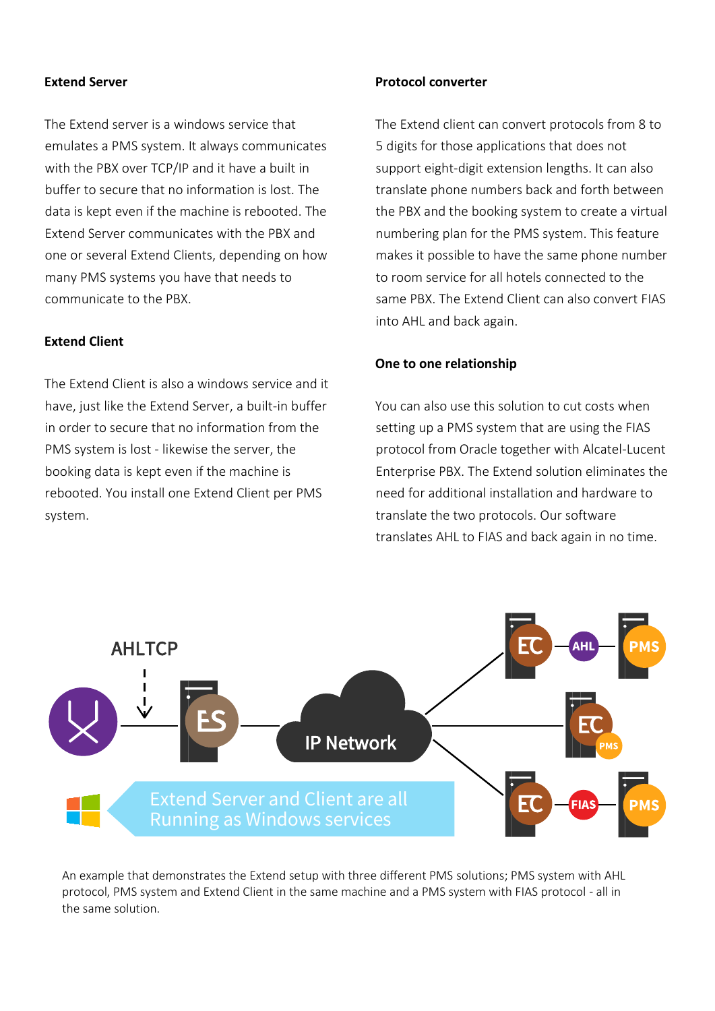#### **Extend Server**

The Extend server is a windows service that emulates a PMS system. It always communicates with the PBX over TCP/IP and it have a built in buffer to secure that no information is lost. The data is kept even if the machine is rebooted. The Extend Server communicates with the PBX and one or several Extend Clients, depending on how many PMS systems you have that needs to communicate to the PBX.

### **Extend Client**

The Extend Client is also a windows service and it have, just like the Extend Server, a built-in buffer in order to secure that no information from the PMS system is lost - likewise the server, the booking data is kept even if the machine is rebooted. You install one Extend Client per PMS system.

#### **Protocol converter**

The Extend client can convert protocols from 8 to 5 digits for those applications that does not support eight-digit extension lengths. It can also translate phone numbers back and forth between the PBX and the booking system to create a virtual numbering plan for the PMS system. This feature makes it possible to have the same phone number to room service for all hotels connected to the same PBX. The Extend Client can also convert FIAS into AHL and back again.

#### **One to one relationship**

You can also use this solution to cut costs when setting up a PMS system that are using the FIAS protocol from Oracle together with Alcatel-Lucent Enterprise PBX. The Extend solution eliminates the need for additional installation and hardware to translate the two protocols. Our software translates AHL to FIAS and back again in no time.



An example that demonstrates the Extend setup with three different PMS solutions; PMS system with AHL protocol, PMS system and Extend Client in the same machine and a PMS system with FIAS protocol - all in the same solution.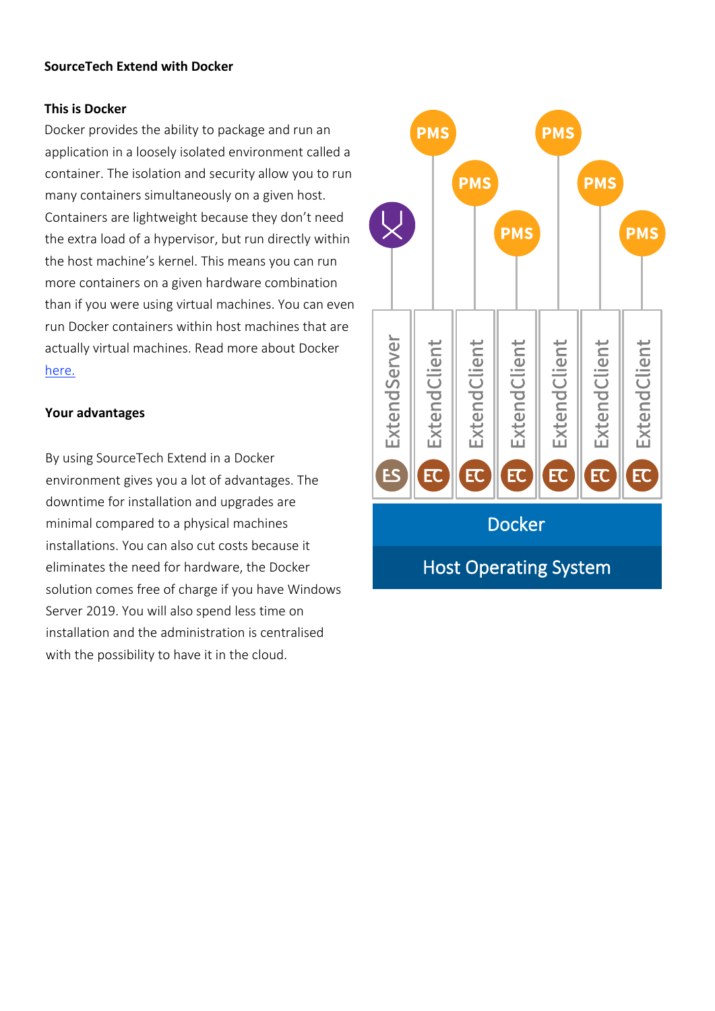# **SourceTech Extend with Docker**

#### **This is Docker**

Docker provides the ability to package and run an application in a loosely isolated environment called a container. The isolation and security allow you to run many containers simultaneously on a given host. Containers are lightweight because they don't need the extra load of a hypervisor, but run directly within the host machine's kernel. This means you can run more containers on a given hardware combination than if you were using virtual machines. You can even run Docker containers within host machines that are actually virtual machines. Read more about Docker [here.](https://docs.docker.com/engine/docker-overview/)

### **Your advantages**

By using SourceTech Extend in a Docker environment gives you a lot of advantages. The downtime for installation and upgrades are minimal compared to a physical machines installations. You can also cut costs because it eliminates the need for hardware, the Docker solution comes free of charge if you have Windows Server 2019. You will also spend less time on installation and the administration is centralised with the possibility to have it in the cloud.